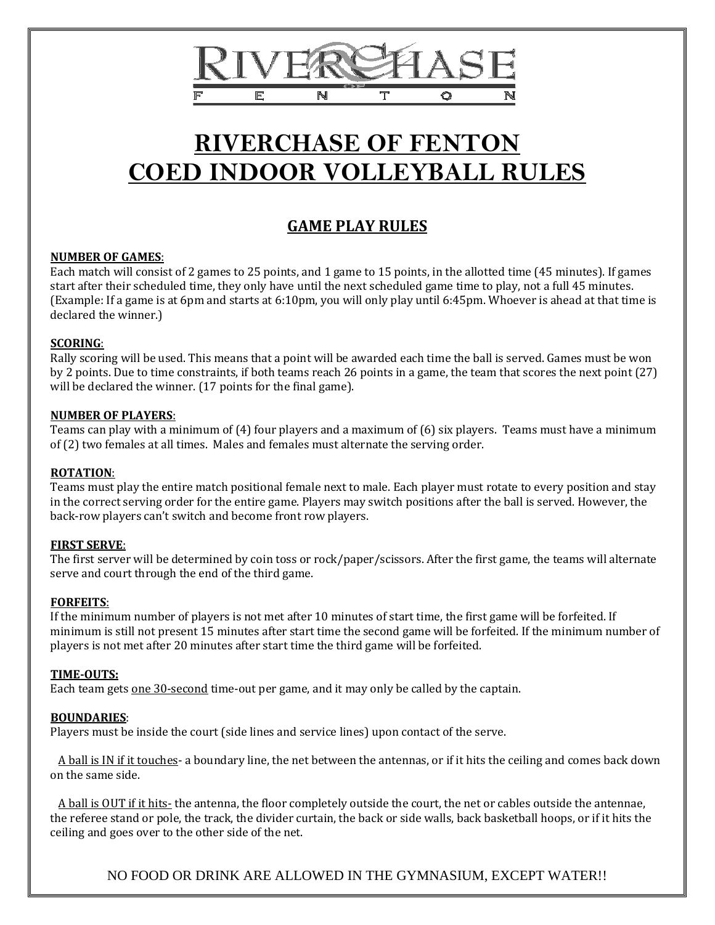

# **RIVERCHASE OF FENTON COED INDOOR VOLLEYBALL RULES**

# **GAME PLAY RULES**

# **NUMBER OF GAMES**:

Each match will consist of 2 games to 25 points, and 1 game to 15 points, in the allotted time (45 minutes). If games start after their scheduled time, they only have until the next scheduled game time to play, not a full 45 minutes. (Example: If a game is at 6pm and starts at 6:10pm, you will only play until 6:45pm. Whoever is ahead at that time is declared the winner.)

# **SCORING**:

Rally scoring will be used. This means that a point will be awarded each time the ball is served. Games must be won by 2 points. Due to time constraints, if both teams reach 26 points in a game, the team that scores the next point (27) will be declared the winner. (17 points for the final game).

#### **NUMBER OF PLAYERS**:

Teams can play with a minimum of (4) four players and a maximum of (6) six players. Teams must have a minimum of (2) two females at all times. Males and females must alternate the serving order.

# **ROTATION**:

Teams must play the entire match positional female next to male. Each player must rotate to every position and stay in the correct serving order for the entire game. Players may switch positions after the ball is served. However, the back-row players can't switch and become front row players.

# **FIRST SERVE**:

The first server will be determined by coin toss or rock/paper/scissors. After the first game, the teams will alternate serve and court through the end of the third game.

#### **FORFEITS**:

If the minimum number of players is not met after 10 minutes of start time, the first game will be forfeited. If minimum is still not present 15 minutes after start time the second game will be forfeited. If the minimum number of players is not met after 20 minutes after start time the third game will be forfeited.

#### **TIME-OUTS:**

Each team gets one 30-second time-out per game, and it may only be called by the captain.

# **BOUNDARIES**:

Players must be inside the court (side lines and service lines) upon contact of the serve.

 A ball is IN if it touches- a boundary line, the net between the antennas, or if it hits the ceiling and comes back down on the same side.

 A ball is OUT if it hits- the antenna, the floor completely outside the court, the net or cables outside the antennae, the referee stand or pole, the track, the divider curtain, the back or side walls, back basketball hoops, or if it hits the ceiling and goes over to the other side of the net.

NO FOOD OR DRINK ARE ALLOWED IN THE GYMNASIUM, EXCEPT WATER!!